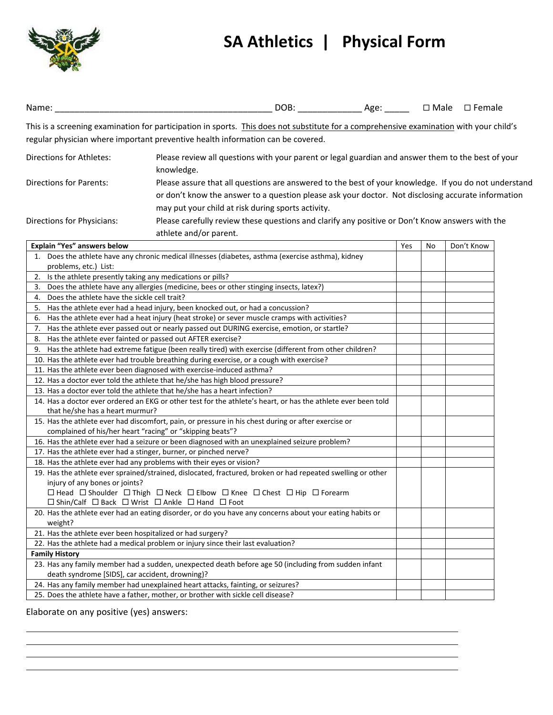

## **SA Athletics | Physical Form**

| Name:                                                           |                                                                                                                                                                                                                            |  |  |  |
|-----------------------------------------------------------------|----------------------------------------------------------------------------------------------------------------------------------------------------------------------------------------------------------------------------|--|--|--|
|                                                                 | This is a screening examination for participation in sports. This does not substitute for a comprehensive examination with your child's<br>regular physician where important preventive health information can be covered. |  |  |  |
| <b>Directions for Athletes:</b>                                 | Please review all questions with your parent or legal guardian and answer them to the best of your<br>knowledge.                                                                                                           |  |  |  |
| <b>Directions for Parents:</b>                                  | Please assure that all questions are answered to the best of your knowledge. If you do not understand                                                                                                                      |  |  |  |
|                                                                 | or don't know the answer to a question please ask your doctor. Not disclosing accurate information                                                                                                                         |  |  |  |
|                                                                 | may put your child at risk during sports activity.                                                                                                                                                                         |  |  |  |
|                                                                 |                                                                                                                                                                                                                            |  |  |  |
| Directions for Physicians:                                      | Please carefully review these questions and clarify any positive or Don't Know answers with the                                                                                                                            |  |  |  |
|                                                                 | athlete and/or parent.                                                                                                                                                                                                     |  |  |  |
| Explain "Yes" answers below                                     | Don't Know<br>Yes<br>No<br>1. Does the athlete have any chronic medical illnesses (diabetes, asthma (exercise asthma), kidney                                                                                              |  |  |  |
| problems, etc.) List:                                           |                                                                                                                                                                                                                            |  |  |  |
| Is the athlete presently taking any medications or pills?<br>2. |                                                                                                                                                                                                                            |  |  |  |
| 3.                                                              | Does the athlete have any allergies (medicine, bees or other stinging insects, latex?)                                                                                                                                     |  |  |  |
| Does the athlete have the sickle cell trait?<br>4.              |                                                                                                                                                                                                                            |  |  |  |
|                                                                 | 5. Has the athlete ever had a head injury, been knocked out, or had a concussion?                                                                                                                                          |  |  |  |
| 6.                                                              | Has the athlete ever had a heat injury (heat stroke) or sever muscle cramps with activities?                                                                                                                               |  |  |  |
|                                                                 | 7. Has the athlete ever passed out or nearly passed out DURING exercise, emotion, or startle?                                                                                                                              |  |  |  |
| 8. Has the athlete ever fainted or passed out AFTER exercise?   |                                                                                                                                                                                                                            |  |  |  |
|                                                                 | 9. Has the athlete had extreme fatigue (been really tired) with exercise (different from other children?                                                                                                                   |  |  |  |
|                                                                 | 10. Has the athlete ever had trouble breathing during exercise, or a cough with exercise?                                                                                                                                  |  |  |  |
|                                                                 | 11. Has the athlete ever been diagnosed with exercise-induced asthma?                                                                                                                                                      |  |  |  |
|                                                                 | 12. Has a doctor ever told the athlete that he/she has high blood pressure?                                                                                                                                                |  |  |  |
|                                                                 | 13. Has a doctor ever told the athlete that he/she has a heart infection?                                                                                                                                                  |  |  |  |
| that he/she has a heart murmur?                                 | 14. Has a doctor ever ordered an EKG or other test for the athlete's heart, or has the athlete ever been told                                                                                                              |  |  |  |
|                                                                 | 15. Has the athlete ever had discomfort, pain, or pressure in his chest during or after exercise or<br>complained of his/her heart "racing" or "skipping beats"?                                                           |  |  |  |
|                                                                 | 16. Has the athlete ever had a seizure or been diagnosed with an unexplained seizure problem?                                                                                                                              |  |  |  |
|                                                                 | 17. Has the athlete ever had a stinger, burner, or pinched nerve?                                                                                                                                                          |  |  |  |
|                                                                 | 18. Has the athlete ever had any problems with their eyes or vision?                                                                                                                                                       |  |  |  |
| injury of any bones or joints?                                  | 19. Has the athlete ever sprained/strained, dislocated, fractured, broken or had repeated swelling or other<br>□ Head □ Shoulder □ Thigh □ Neck □ Elbow □ Knee □ Chest □ Hip □ Forearm                                     |  |  |  |
|                                                                 | $\Box$ Shin/Calf $\Box$ Back $\Box$ Wrist $\Box$ Ankle $\Box$ Hand $\Box$ Foot                                                                                                                                             |  |  |  |
| weight?                                                         | 20. Has the athlete ever had an eating disorder, or do you have any concerns about your eating habits or                                                                                                                   |  |  |  |
| 21. Has the athlete ever been hospitalized or had surgery?      |                                                                                                                                                                                                                            |  |  |  |
|                                                                 | 22. Has the athlete had a medical problem or injury since their last evaluation?                                                                                                                                           |  |  |  |
| <b>Family History</b>                                           |                                                                                                                                                                                                                            |  |  |  |
|                                                                 | 23. Has any family member had a sudden, unexpected death before age 50 (including from sudden infant                                                                                                                       |  |  |  |
| death syndrome [SIDS], car accident, drowning)?                 |                                                                                                                                                                                                                            |  |  |  |
|                                                                 | 24. Has any family member had unexplained heart attacks, fainting, or seizures?                                                                                                                                            |  |  |  |
|                                                                 | 25. Does the athlete have a father, mother, or brother with sickle cell disease?                                                                                                                                           |  |  |  |

<u> 1980 - Johann Barn, mars ann an t-Amhain Aonaich an t-Aonaich an t-Aonaich an t-Aonaich an t-Aonaich an t-Aon</u>

Elaborate on any positive (yes) answers: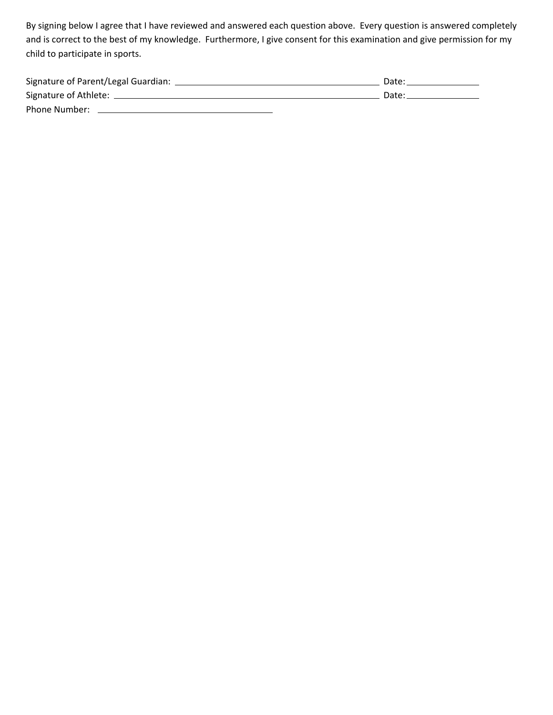By signing below I agree that I have reviewed and answered each question above. Every question is answered completely and is correct to the best of my knowledge. Furthermore, I give consent for this examination and give permission for my child to participate in sports.

| Signature of Parent/Legal Guardian: | Date: |
|-------------------------------------|-------|
| Signature of Athlete: ____          | Date: |
| Phone Number:                       |       |